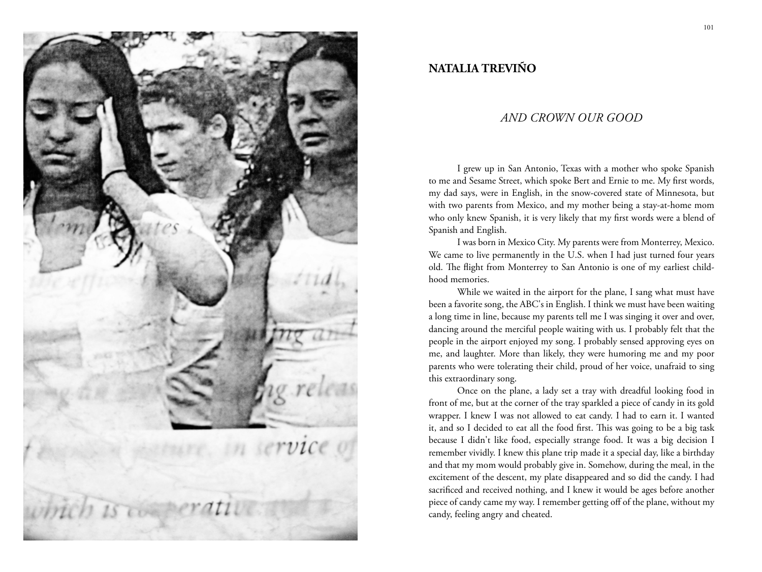

## **NATALIA TREVIÑO**

## *And Crown OUR Good*

I grew up in San Antonio, Texas with a mother who spoke Spanish to me and Sesame Street, which spoke Bert and Ernie to me. My first words, my dad says, were in English, in the snow-covered state of Minnesota, but with two parents from Mexico, and my mother being a stay-at-home mom who only knew Spanish, it is very likely that my first words were a blend of Spanish and English.

I was born in Mexico City. My parents were from Monterrey, Mexico. We came to live permanently in the U.S. when I had just turned four years old. The flight from Monterrey to San Antonio is one of my earliest childhood memories.

While we waited in the airport for the plane, I sang what must have been a favorite song, the ABC's in English. I think we must have been waiting a long time in line, because my parents tell me I was singing it over and over, dancing around the merciful people waiting with us. I probably felt that the people in the airport enjoyed my song. I probably sensed approving eyes on me, and laughter. More than likely, they were humoring me and my poor parents who were tolerating their child, proud of her voice, unafraid to sing this extraordinary song.

Once on the plane, a lady set a tray with dreadful looking food in front of me, but at the corner of the tray sparkled a piece of candy in its gold wrapper. I knew I was not allowed to eat candy. I had to earn it. I wanted it, and so I decided to eat all the food first. This was going to be a big task because I didn't like food, especially strange food. It was a big decision I remember vividly. I knew this plane trip made it a special day, like a birthday and that my mom would probably give in. Somehow, during the meal, in the excitement of the descent, my plate disappeared and so did the candy. I had sacrificed and received nothing, and I knew it would be ages before another piece of candy came my way. I remember getting off of the plane, without my candy, feeling angry and cheated.